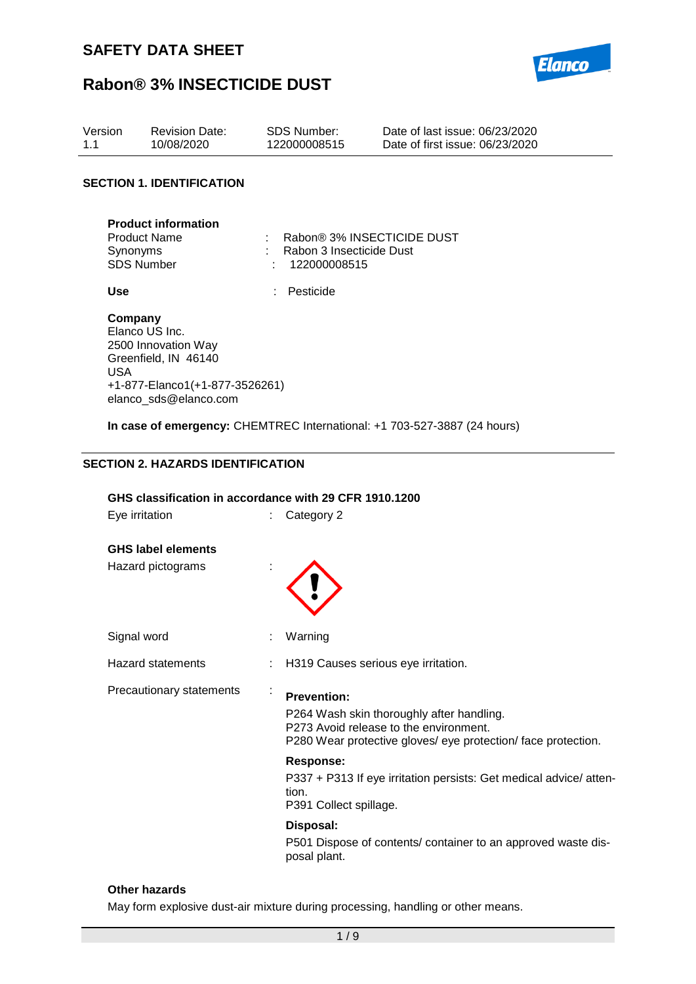

| Version | Revision Date: | SDS Number:  | Date of last issue: 06/23/2020  |
|---------|----------------|--------------|---------------------------------|
| 1.1     | 10/08/2020     | 122000008515 | Date of first issue: 06/23/2020 |

### **SECTION 1. IDENTIFICATION**

| <b>Product information</b> |                            |
|----------------------------|----------------------------|
| <b>Product Name</b>        | Rabon® 3% INSECTICIDE DUST |
| Synonyms                   | : Rabon 3 Insecticide Dust |
| <b>SDS Number</b>          | : 122000008515             |

**Use** : Pesticide

#### **Company** Elanco US Inc. 2500 Innovation Way Greenfield, IN 46140 USA +1-877-Elanco1(+1-877-3526261) elanco\_sds@elanco.com

**In case of emergency:** CHEMTREC International: +1 703-527-3887 (24 hours)

#### **SECTION 2. HAZARDS IDENTIFICATION**

#### **GHS classification in accordance with 29 CFR 1910.1200**

Eye irritation : Category 2

### **GHS label elements**

Hazard pictograms :



Signal word : Warning

Hazard statements : H319 Causes serious eye irritation.

Precautionary statements :

**Prevention:**  P264 Wash skin thoroughly after handling. P273 Avoid release to the environment. P280 Wear protective gloves/ eye protection/ face protection.

#### **Response:**

P337 + P313 If eye irritation persists: Get medical advice/ attention.

P391 Collect spillage.

### **Disposal:**

P501 Dispose of contents/ container to an approved waste disposal plant.

### **Other hazards**

May form explosive dust-air mixture during processing, handling or other means.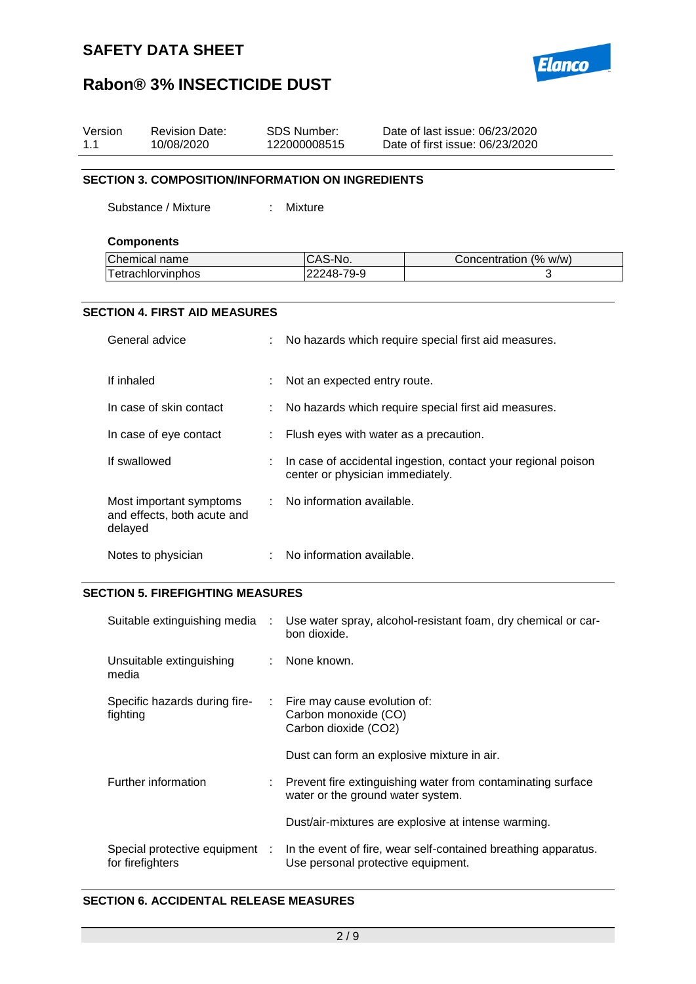

| Version<br>1.1 |                                                          | <b>Revision Date:</b><br>10/08/2020                    |  | <b>SDS Number:</b><br>Date of last issue: 06/23/2020<br>122000008515<br>Date of first issue: 06/23/2020 |                                                               |  |  |  |
|----------------|----------------------------------------------------------|--------------------------------------------------------|--|---------------------------------------------------------------------------------------------------------|---------------------------------------------------------------|--|--|--|
|                | <b>SECTION 3. COMPOSITION/INFORMATION ON INGREDIENTS</b> |                                                        |  |                                                                                                         |                                                               |  |  |  |
|                |                                                          | Substance / Mixture                                    |  | <b>Mixture</b>                                                                                          |                                                               |  |  |  |
|                | <b>Components</b>                                        |                                                        |  |                                                                                                         |                                                               |  |  |  |
|                |                                                          | Chemical name                                          |  | CAS-No.                                                                                                 | Concentration (% w/w)                                         |  |  |  |
|                |                                                          | Tetrachlorvinphos                                      |  | 22248-79-9                                                                                              | 3                                                             |  |  |  |
|                |                                                          |                                                        |  |                                                                                                         |                                                               |  |  |  |
|                |                                                          | <b>SECTION 4. FIRST AID MEASURES</b>                   |  |                                                                                                         |                                                               |  |  |  |
|                |                                                          | General advice                                         |  |                                                                                                         | No hazards which require special first aid measures.          |  |  |  |
|                | If inhaled                                               |                                                        |  | Not an expected entry route.                                                                            |                                                               |  |  |  |
|                |                                                          | In case of skin contact                                |  | No hazards which require special first aid measures.                                                    |                                                               |  |  |  |
|                |                                                          | In case of eye contact                                 |  |                                                                                                         | Flush eyes with water as a precaution.                        |  |  |  |
|                | If swallowed                                             |                                                        |  | center or physician immediately.                                                                        | In case of accidental ingestion, contact your regional poison |  |  |  |
|                | delayed                                                  | Most important symptoms<br>and effects, both acute and |  | No information available.                                                                               |                                                               |  |  |  |
|                |                                                          | Notes to physician                                     |  | No information available.                                                                               |                                                               |  |  |  |
|                | <b>SECTION 5. FIREFIGHTING MEASURES</b>                  |                                                        |  |                                                                                                         |                                                               |  |  |  |
|                |                                                          | Suitable extinguishing media                           |  | bon dioxide.                                                                                            | Use water spray, alcohol-resistant foam, dry chemical or car- |  |  |  |
|                | media                                                    | Unsuitable extinguishing                               |  | None known.                                                                                             |                                                               |  |  |  |
|                | fighting                                                 | Specific hazards during fire-                          |  | Fire may cause evolution of:<br>Carbon monoxide (CO)<br>Carbon dioxide (CO2)                            |                                                               |  |  |  |

|  | Dust can form an explosive mixture in air. |  |
|--|--------------------------------------------|--|
|  |                                            |  |

| Further information | : Prevent fire extinguishing water from contaminating surface |
|---------------------|---------------------------------------------------------------|
|                     | water or the ground water system.                             |

Dust/air-mixtures are explosive at intense warming.

| Special protective equipment | In the event of fire, wear self-contained breathing apparatus. |
|------------------------------|----------------------------------------------------------------|
| for firefighters             | Use personal protective equipment.                             |

### **SECTION 6. ACCIDENTAL RELEASE MEASURES**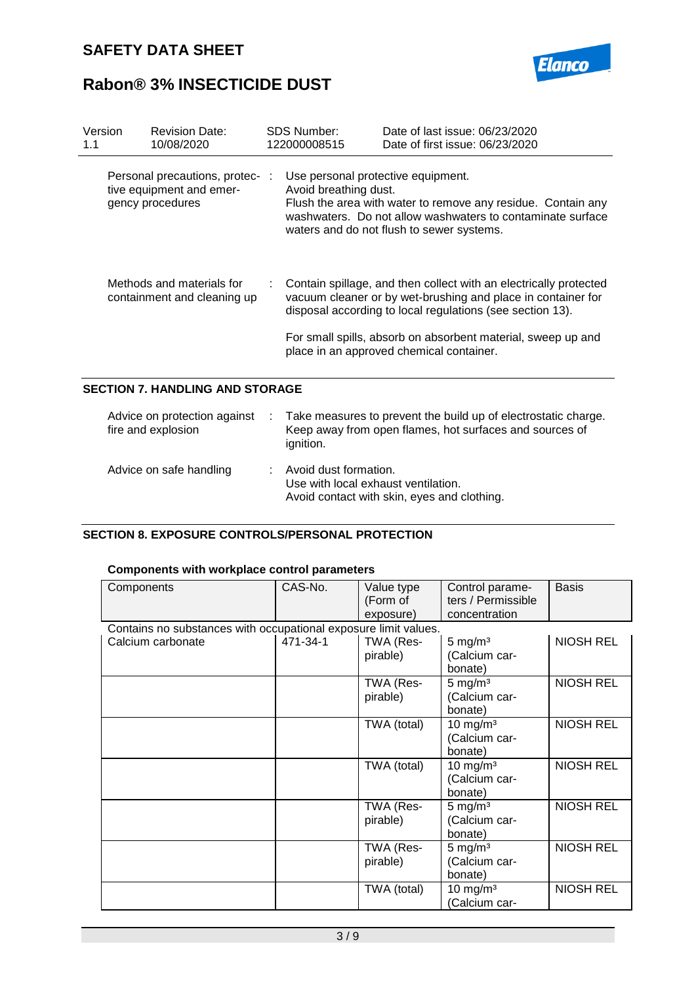

| Version<br>1.1 | <b>Revision Date:</b><br>10/08/2020                                             | <b>SDS Number:</b><br>122000008515                                                                                                                                                                                                                                                                         | Date of last issue: 06/23/2020<br>Date of first issue: 06/23/2020                                                                                                       |  |  |
|----------------|---------------------------------------------------------------------------------|------------------------------------------------------------------------------------------------------------------------------------------------------------------------------------------------------------------------------------------------------------------------------------------------------------|-------------------------------------------------------------------------------------------------------------------------------------------------------------------------|--|--|
|                | Personal precautions, protec- :<br>tive equipment and emer-<br>gency procedures | Use personal protective equipment.<br>Avoid breathing dust.                                                                                                                                                                                                                                                | Flush the area with water to remove any residue. Contain any<br>washwaters. Do not allow washwaters to contaminate surface<br>waters and do not flush to sewer systems. |  |  |
|                | Methods and materials for<br>containment and cleaning up                        | Contain spillage, and then collect with an electrically protected<br>vacuum cleaner or by wet-brushing and place in container for<br>disposal according to local regulations (see section 13).<br>For small spills, absorb on absorbent material, sweep up and<br>place in an approved chemical container. |                                                                                                                                                                         |  |  |
|                | <b>SECTION 7. HANDLING AND STORAGE</b>                                          |                                                                                                                                                                                                                                                                                                            |                                                                                                                                                                         |  |  |
|                | Advice on protection against<br>fire and explosion                              | ignition.                                                                                                                                                                                                                                                                                                  | Take measures to prevent the build up of electrostatic charge.<br>Keep away from open flames, hot surfaces and sources of                                               |  |  |
|                | Advice on safe handling                                                         | Avoid dust formation.                                                                                                                                                                                                                                                                                      |                                                                                                                                                                         |  |  |

### **SECTION 8. EXPOSURE CONTROLS/PERSONAL PROTECTION**

### **Components with workplace control parameters**

| Components                                                      | CAS-No.  | Value type<br>(Form of<br>exposure) | Control parame-<br>ters / Permissible<br>concentration | <b>Basis</b>     |
|-----------------------------------------------------------------|----------|-------------------------------------|--------------------------------------------------------|------------------|
| Contains no substances with occupational exposure limit values. |          |                                     |                                                        |                  |
| Calcium carbonate                                               | 471-34-1 | TWA (Res-<br>pirable)               | $5 \text{ mg/m}^3$<br>(Calcium car-<br>bonate)         | <b>NIOSH REL</b> |
|                                                                 |          | TWA (Res-<br>pirable)               | $5 \text{ mg/m}^3$<br>(Calcium car-<br>bonate)         | <b>NIOSH REL</b> |
|                                                                 |          | TWA (total)                         | $10 \text{ mg/m}^3$<br>(Calcium car-<br>bonate)        | <b>NIOSH REL</b> |
|                                                                 |          | TWA (total)                         | $10 \text{ mg/m}^3$<br>(Calcium car-<br>bonate)        | <b>NIOSH REL</b> |
|                                                                 |          | TWA (Res-<br>pirable)               | 5 mg/ $m3$<br>(Calcium car-<br>bonate)                 | <b>NIOSH REL</b> |
|                                                                 |          | TWA (Res-<br>pirable)               | 5 mg/ $m3$<br>(Calcium car-<br>bonate)                 | <b>NIOSH REL</b> |
|                                                                 |          | TWA (total)                         | $10 \text{ mg/m}^3$<br>(Calcium car-                   | <b>NIOSH REL</b> |

Use with local exhaust ventilation.

Avoid contact with skin, eyes and clothing.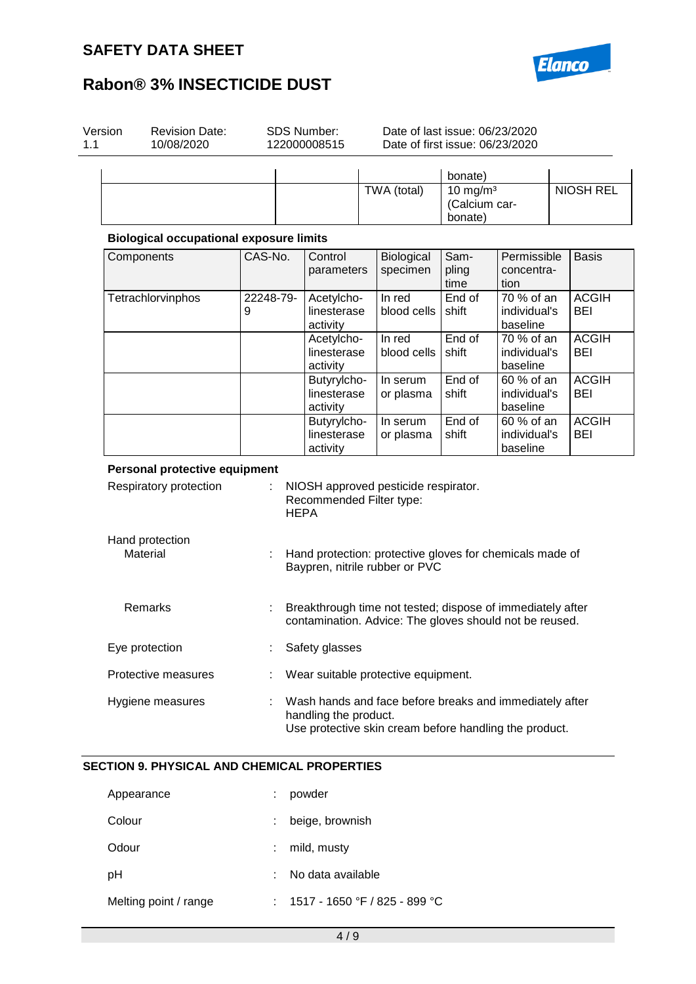

| Version | <b>Revision Date:</b><br>10/08/2020            | <b>SDS Number:</b><br>122000008515 |                                         | Date of last issue: 06/23/2020<br>Date of first issue: 06/23/2020                                                     |                                         |                                        |  |                            |
|---------|------------------------------------------------|------------------------------------|-----------------------------------------|-----------------------------------------------------------------------------------------------------------------------|-----------------------------------------|----------------------------------------|--|----------------------------|
|         |                                                |                                    |                                         |                                                                                                                       | bonate)                                 |                                        |  |                            |
|         |                                                |                                    |                                         | TWA (total)                                                                                                           | 10 mg/m $3$<br>(Calcium car-<br>bonate) |                                        |  | <b>NIOSH REL</b>           |
|         | <b>Biological occupational exposure limits</b> |                                    |                                         |                                                                                                                       |                                         |                                        |  |                            |
|         | Components                                     | CAS-No.                            | Control<br>parameters                   | Biological<br>specimen                                                                                                | Sam-<br>pling<br>time                   | Permissible<br>concentra-<br>tion      |  | <b>Basis</b>               |
|         | Tetrachlorvinphos                              | 22248-79-<br>9                     | Acetylcho-<br>linesterase<br>activity   | In red<br>blood cells                                                                                                 | End of<br>shift                         | 70 % of an<br>individual's<br>baseline |  | <b>ACGIH</b><br><b>BEI</b> |
|         |                                                |                                    | Acetylcho-<br>linesterase<br>activity   | In red<br>blood cells                                                                                                 | End of<br>shift                         | 70 % of an<br>individual's<br>baseline |  | <b>ACGIH</b><br>BEI        |
|         |                                                |                                    | Butyrylcho-<br>linesterase<br>activity  | In serum<br>or plasma                                                                                                 | End of<br>shift                         | 60 % of an<br>individual's<br>baseline |  | <b>ACGIH</b><br><b>BEI</b> |
|         |                                                |                                    | Butyrylcho-<br>linesterase<br>activity  | In serum<br>or plasma                                                                                                 | End of<br>shift                         | 60 % of an<br>individual's<br>baseline |  | <b>ACGIH</b><br>BEI        |
|         | Personal protective equipment                  |                                    |                                         |                                                                                                                       |                                         |                                        |  |                            |
|         | Respiratory protection                         | ÷                                  | Recommended Filter type:<br><b>HEPA</b> | NIOSH approved pesticide respirator.                                                                                  |                                         |                                        |  |                            |
|         | Hand protection<br>Material                    |                                    |                                         | Hand protection: protective gloves for chemicals made of<br>Baypren, nitrile rubber or PVC                            |                                         |                                        |  |                            |
|         | Remarks                                        |                                    |                                         | Breakthrough time not tested; dispose of immediately after<br>contamination. Advice: The gloves should not be reused. |                                         |                                        |  |                            |
|         | Eye protection                                 |                                    | Safety glasses                          |                                                                                                                       |                                         |                                        |  |                            |
|         | Protective measures                            |                                    |                                         | Wear suitable protective equipment.                                                                                   |                                         |                                        |  |                            |
|         | Hygiene measures                               |                                    | handling the product.                   | Wash hands and face before breaks and immediately after<br>Use protective skin cream before handling the product.     |                                         |                                        |  |                            |

| Appearance            | powder                        |
|-----------------------|-------------------------------|
| Colour                | beige, brownish               |
| Odour                 | mild, musty                   |
| рH                    | No data available             |
| Melting point / range | 1517 - 1650 °F / 825 - 899 °C |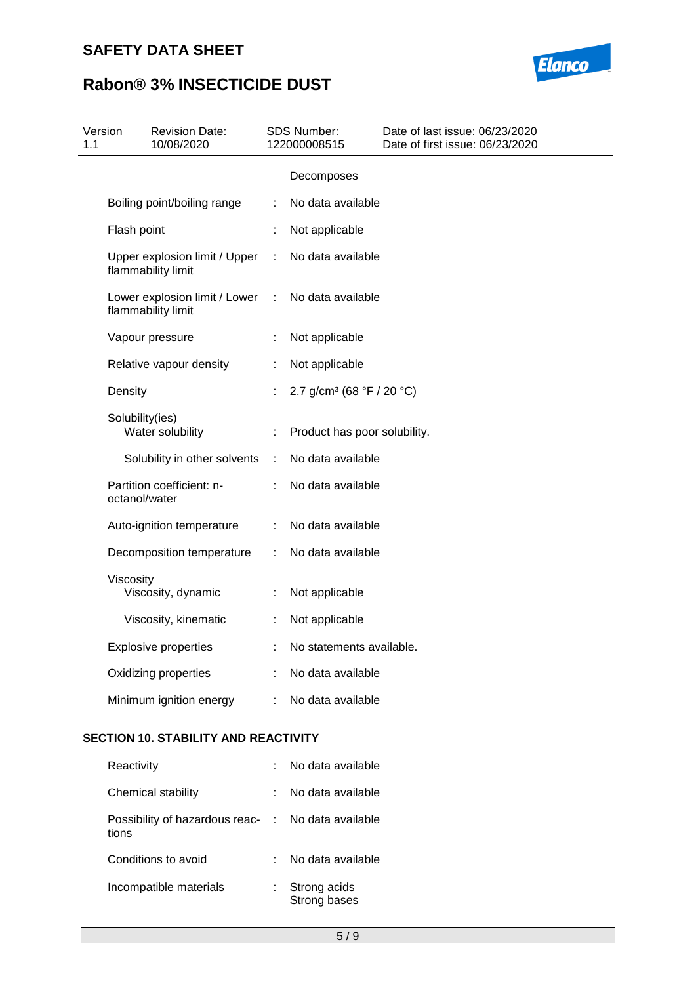# **SAFETY DATA SHEET**



# **Rabon® 3% INSECTICIDE DUST**

| Version<br>1.1 |                 | <b>Revision Date:</b><br>10/08/2020                 |    | <b>SDS Number:</b><br>122000008515    | Date of last issue: 06/23/2020<br>Date of first issue: 06/23/2020 |
|----------------|-----------------|-----------------------------------------------------|----|---------------------------------------|-------------------------------------------------------------------|
|                |                 |                                                     |    | Decomposes                            |                                                                   |
|                |                 | Boiling point/boiling range                         |    | No data available                     |                                                                   |
|                | Flash point     |                                                     | ÷  | Not applicable                        |                                                                   |
|                |                 | Upper explosion limit / Upper<br>flammability limit | ÷  | No data available                     |                                                                   |
|                |                 | Lower explosion limit / Lower<br>flammability limit | ÷  | No data available                     |                                                                   |
|                |                 | Vapour pressure                                     | ÷  | Not applicable                        |                                                                   |
|                |                 | Relative vapour density                             | t. | Not applicable                        |                                                                   |
|                | Density         |                                                     |    | 2.7 g/cm <sup>3</sup> (68 °F / 20 °C) |                                                                   |
|                | Solubility(ies) | Water solubility                                    |    | Product has poor solubility.          |                                                                   |
|                |                 | Solubility in other solvents                        | ÷  | No data available                     |                                                                   |
|                | octanol/water   | Partition coefficient: n-                           |    | No data available                     |                                                                   |
|                |                 | Auto-ignition temperature                           | ÷  | No data available                     |                                                                   |
|                |                 | Decomposition temperature                           | ÷  | No data available                     |                                                                   |
|                | Viscosity       | Viscosity, dynamic                                  | ÷  | Not applicable                        |                                                                   |
|                |                 | Viscosity, kinematic                                | ÷. | Not applicable                        |                                                                   |
|                |                 | <b>Explosive properties</b>                         |    | No statements available.              |                                                                   |
|                |                 | Oxidizing properties                                | ÷  | No data available                     |                                                                   |
|                |                 | Minimum ignition energy                             | ÷  | No data available                     |                                                                   |
|                |                 |                                                     |    |                                       |                                                                   |

### **SECTION 10. STABILITY AND REACTIVITY**

| Reactivity                                                  | No data available            |
|-------------------------------------------------------------|------------------------------|
| Chemical stability                                          | No data available            |
| Possibility of hazardous reac- : No data available<br>tions |                              |
| Conditions to avoid                                         | No data available            |
| Incompatible materials                                      | Strong acids<br>Strong bases |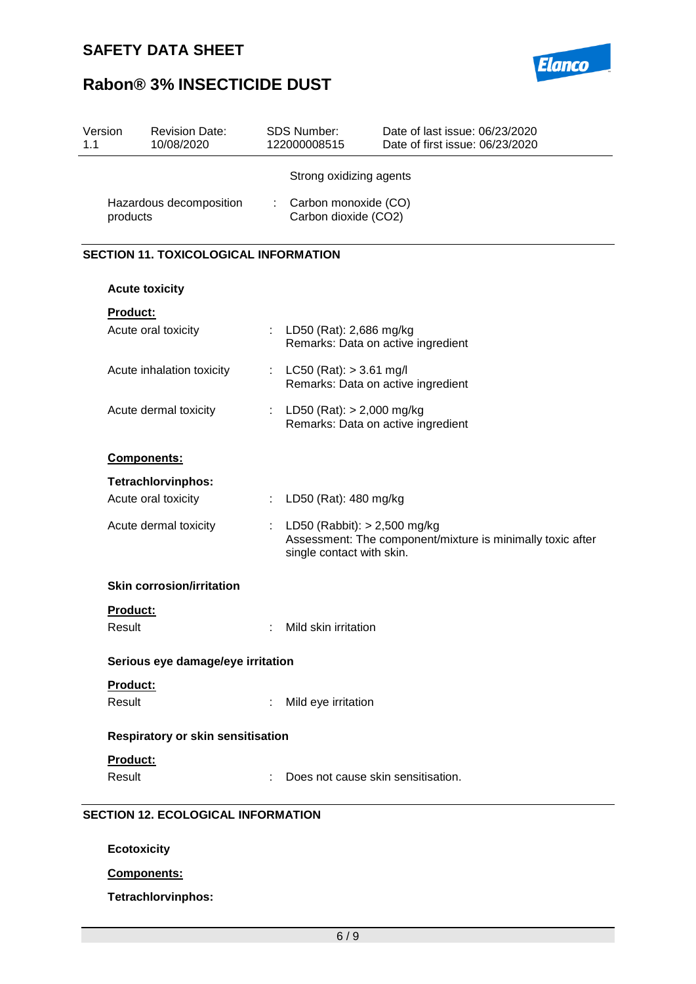

| Version<br>1.1 | <b>Revision Date:</b><br>10/08/2020          |    | SDS Number:<br>122000008515                                       | Date of last issue: 06/23/2020<br>Date of first issue: 06/23/2020 |
|----------------|----------------------------------------------|----|-------------------------------------------------------------------|-------------------------------------------------------------------|
|                |                                              |    | Strong oxidizing agents                                           |                                                                   |
|                | Hazardous decomposition<br>products          | ÷. | Carbon monoxide (CO)<br>Carbon dioxide (CO2)                      |                                                                   |
|                | <b>SECTION 11. TOXICOLOGICAL INFORMATION</b> |    |                                                                   |                                                                   |
|                | <b>Acute toxicity</b>                        |    |                                                                   |                                                                   |
|                | <b>Product:</b>                              |    |                                                                   |                                                                   |
|                | Acute oral toxicity                          |    | : LD50 (Rat): 2,686 mg/kg                                         | Remarks: Data on active ingredient                                |
|                | Acute inhalation toxicity                    | t. | $LC50$ (Rat): $> 3.61$ mg/l                                       | Remarks: Data on active ingredient                                |
|                | Acute dermal toxicity                        |    | LD50 (Rat): $> 2,000$ mg/kg<br>Remarks: Data on active ingredient |                                                                   |
| Components:    |                                              |    |                                                                   |                                                                   |
|                | <b>Tetrachlorvinphos:</b>                    |    |                                                                   |                                                                   |
|                | Acute oral toxicity                          | ÷. | LD50 (Rat): 480 mg/kg                                             |                                                                   |
|                | Acute dermal toxicity                        | t. | LD50 (Rabbit): $> 2,500$ mg/kg<br>single contact with skin.       | Assessment: The component/mixture is minimally toxic after        |
|                | <b>Skin corrosion/irritation</b>             |    |                                                                   |                                                                   |
|                | <b>Product:</b>                              |    |                                                                   |                                                                   |
|                | Result                                       |    | Mild skin irritation                                              |                                                                   |
|                | Serious eye damage/eye irritation            |    |                                                                   |                                                                   |
|                | Product:                                     |    |                                                                   |                                                                   |
|                | Result                                       |    | Mild eye irritation                                               |                                                                   |
|                | Respiratory or skin sensitisation            |    |                                                                   |                                                                   |
|                | <b>Product:</b>                              |    |                                                                   |                                                                   |
|                | Result                                       |    | Does not cause skin sensitisation.                                |                                                                   |
|                | <b>SECTION 12. ECOLOGICAL INFORMATION</b>    |    |                                                                   |                                                                   |
|                | <b>Ecotoxicity</b>                           |    |                                                                   |                                                                   |
|                | Components:                                  |    |                                                                   |                                                                   |

**Tetrachlorvinphos:**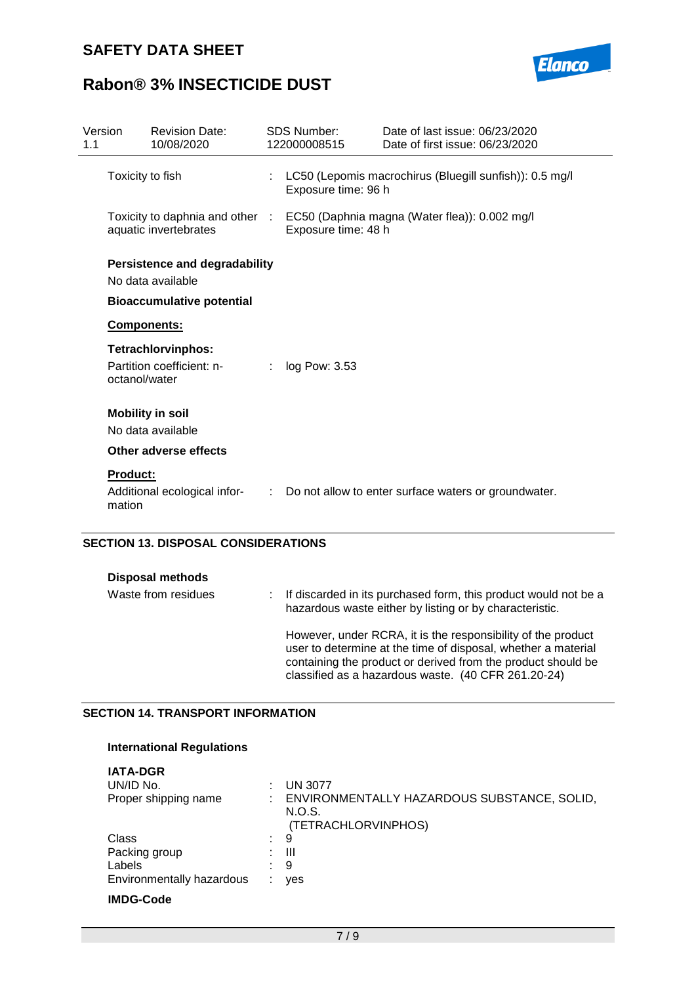

| Version<br>1.1            | <b>Revision Date:</b><br>10/08/2020                       |   | <b>SDS Number:</b><br>122000008515                                             | Date of last issue: 06/23/2020<br>Date of first issue: 06/23/2020 |
|---------------------------|-----------------------------------------------------------|---|--------------------------------------------------------------------------------|-------------------------------------------------------------------|
|                           | Toxicity to fish                                          |   | LC50 (Lepomis macrochirus (Bluegill sunfish)): 0.5 mg/l<br>Exposure time: 96 h |                                                                   |
|                           | Toxicity to daphnia and other :<br>aquatic invertebrates  |   | EC50 (Daphnia magna (Water flea)): 0.002 mg/l<br>Exposure time: 48 h           |                                                                   |
|                           | <b>Persistence and degradability</b><br>No data available |   |                                                                                |                                                                   |
|                           | <b>Bioaccumulative potential</b>                          |   |                                                                                |                                                                   |
|                           | Components:                                               |   |                                                                                |                                                                   |
| octanol/water             | <b>Tetrachlorvinphos:</b><br>Partition coefficient: n-    |   | log Pow: 3.53                                                                  |                                                                   |
|                           | <b>Mobility in soil</b><br>No data available              |   |                                                                                |                                                                   |
|                           | Other adverse effects                                     |   |                                                                                |                                                                   |
| <b>Product:</b><br>mation | Additional ecological infor-                              | ÷ |                                                                                | Do not allow to enter surface waters or groundwater.              |

### **SECTION 13. DISPOSAL CONSIDERATIONS**

| <b>Disposal methods</b> |  |                                                                                                                                                                                                                                                      |
|-------------------------|--|------------------------------------------------------------------------------------------------------------------------------------------------------------------------------------------------------------------------------------------------------|
| Waste from residues     |  | If discarded in its purchased form, this product would not be a<br>hazardous waste either by listing or by characteristic.                                                                                                                           |
|                         |  | However, under RCRA, it is the responsibility of the product<br>user to determine at the time of disposal, whether a material<br>containing the product or derived from the product should be<br>classified as a hazardous waste. (40 CFR 261.20-24) |

### **SECTION 14. TRANSPORT INFORMATION**

### **International Regulations**

| <b>IATA-DGR</b><br>UN/ID No.<br>Proper shipping name          | <b>UN 3077</b><br>ENVIRONMENTALLY HAZARDOUS SUBSTANCE, SOLID,<br>N.O.S.<br>(TETRACHLORVINPHOS) |
|---------------------------------------------------------------|------------------------------------------------------------------------------------------------|
| Class<br>Packing group<br>Labels<br>Environmentally hazardous | 9<br>Ш<br>9<br>yes                                                                             |
| <b>IMDG-Code</b>                                              |                                                                                                |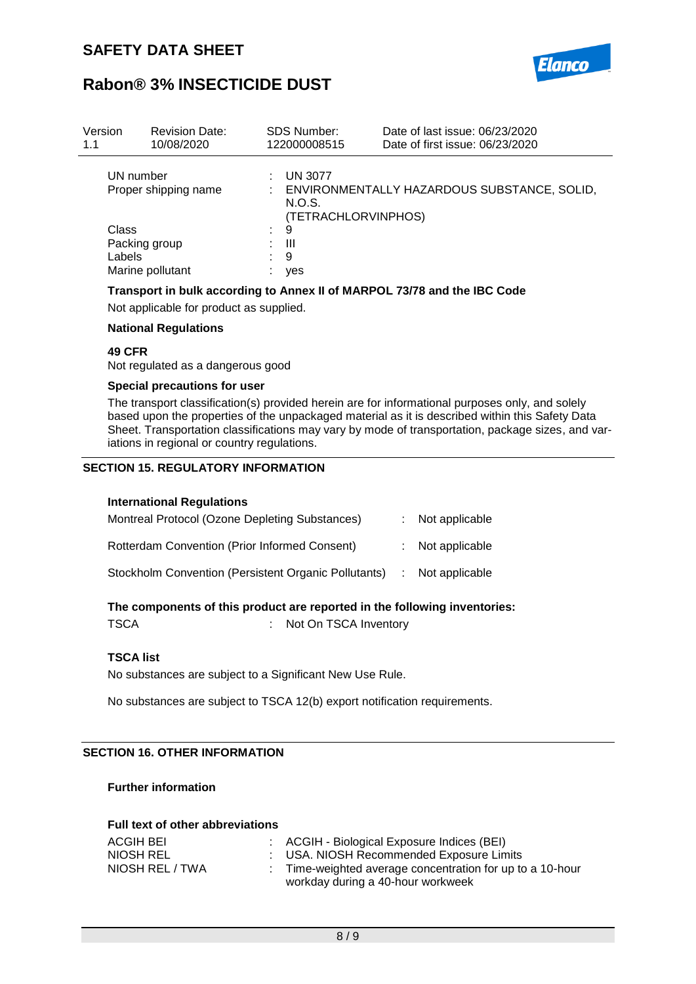

| Version<br>1.1 | <b>Revision Date:</b><br>10/08/2020 |    | <b>SDS Number:</b><br>122000008515              | Date of last issue: 06/23/2020<br>Date of first issue: 06/23/2020 |
|----------------|-------------------------------------|----|-------------------------------------------------|-------------------------------------------------------------------|
|                | UN number<br>Proper shipping name   |    | <b>UN 3077</b><br>N.O.S.<br>(TETRACHLORVINPHOS) | ENVIRONMENTALLY HAZARDOUS SUBSTANCE, SOLID,                       |
|                | Class                               | ÷. | 9                                               |                                                                   |
|                | Packing group                       |    | Ш                                               |                                                                   |
|                | Labels                              |    | 9                                               |                                                                   |
|                | Marine pollutant                    |    | yes                                             |                                                                   |

### **Transport in bulk according to Annex II of MARPOL 73/78 and the IBC Code**

Not applicable for product as supplied.

### **National Regulations**

### **49 CFR**

Not regulated as a dangerous good

#### **Special precautions for user**

The transport classification(s) provided herein are for informational purposes only, and solely based upon the properties of the unpackaged material as it is described within this Safety Data Sheet. Transportation classifications may vary by mode of transportation, package sizes, and variations in regional or country regulations.

### **SECTION 15. REGULATORY INFORMATION**

#### **International Regulations**

| Montreal Protocol (Ozone Depleting Substances)       | $:$ Not applicable          |
|------------------------------------------------------|-----------------------------|
| <b>Rotterdam Convention (Prior Informed Consent)</b> | $:$ Not applicable          |
| Stockholm Convention (Persistent Organic Pollutants) | $\therefore$ Not applicable |

#### **The components of this product are reported in the following inventories:**

TSCA : Not On TSCA Inventory

### **TSCA list**

No substances are subject to a Significant New Use Rule.

No substances are subject to TSCA 12(b) export notification requirements.

### **SECTION 16. OTHER INFORMATION**

### **Further information**

| <b>Full text of other abbreviations</b> |  |                                                           |  |  |  |
|-----------------------------------------|--|-----------------------------------------------------------|--|--|--|
| ACGIH BEI                               |  | : ACGIH - Biological Exposure Indices (BEI)               |  |  |  |
| NIOSH REL                               |  | : USA. NIOSH Recommended Exposure Limits                  |  |  |  |
| NIOSH REL / TWA                         |  | : Time-weighted average concentration for up to a 10-hour |  |  |  |
|                                         |  | workday during a 40-hour workweek                         |  |  |  |